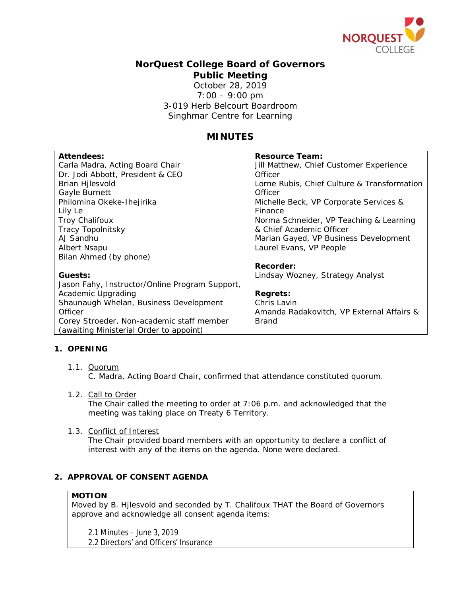

# **NorQuest College Board of Governors Public Meeting** October 28, 2019 7:00 – 9:00 pm 3-019 Herb Belcourt Boardroom Singhmar Centre for Learning

# **MINUTES**

| Attendees:                                     | Resource Team:                              |
|------------------------------------------------|---------------------------------------------|
| Carla Madra, Acting Board Chair                | Jill Matthew, Chief Customer Experience     |
|                                                | Officer                                     |
| Dr. Jodi Abbott, President & CEO               |                                             |
| Brian Hjlesvold                                | Lorne Rubis, Chief Culture & Transformation |
| Gayle Burnett                                  | Officer                                     |
| Philomina Okeke-Ihejirika                      | Michelle Beck, VP Corporate Services &      |
| Lily Le                                        | Finance                                     |
| <b>Troy Chalifoux</b>                          | Norma Schneider, VP Teaching & Learning     |
| Tracy Topolnitsky                              | & Chief Academic Officer                    |
| AJ Sandhu                                      | Marian Gayed, VP Business Development       |
| Albert Nsapu                                   | Laurel Evans, VP People                     |
| Bilan Ahmed (by phone)                         |                                             |
|                                                | Recorder:                                   |
| Guests:                                        | Lindsay Wozney, Strategy Analyst            |
| Jason Fahy, Instructor/Online Program Support, |                                             |
| Academic Upgrading                             | Regrets:                                    |
| Shaunaugh Whelan, Business Development         | Chris Lavin                                 |
| Officer                                        | Amanda Radakovitch, VP External Affairs &   |
| Corey Stroeder, Non-academic staff member      | <b>Brand</b>                                |
| (awaiting Ministerial Order to appoint)        |                                             |
|                                                |                                             |

### **1. OPENING**

1.1. Quorum

C. Madra, Acting Board Chair, confirmed that attendance constituted quorum.

1.2. Call to Order

The Chair called the meeting to order at 7:06 p.m. and acknowledged that the meeting was taking place on Treaty 6 Territory.

1.3. Conflict of Interest

The Chair provided board members with an opportunity to declare a conflict of interest with any of the items on the agenda. None were declared.

## **2. APPROVAL OF CONSENT AGENDA**

#### **MOTION**

Moved by B. Hjlesvold and seconded by T. Chalifoux THAT the Board of Governors approve and acknowledge all consent agenda items:

2.1 Minutes – June 3, 2019

2.2 Directors' and Officers' Insurance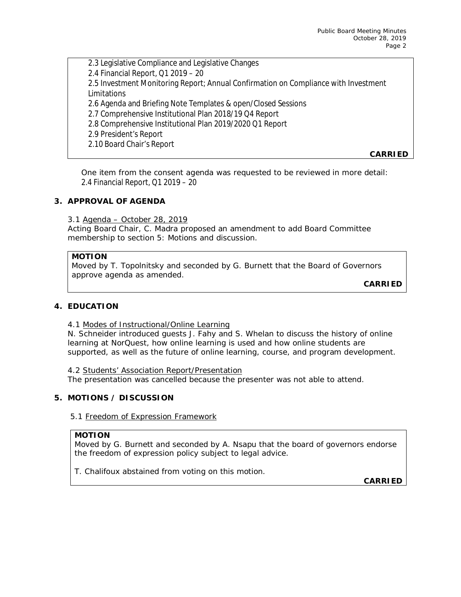2.3 Legislative Compliance and Legislative Changes 2.4 Financial Report, Q1 2019 – 20 2.5 Investment Monitoring Report; Annual Confirmation on Compliance with Investment Limitations 2.6 Agenda and Briefing Note Templates & open/Closed Sessions 2.7 Comprehensive Institutional Plan 2018/19 Q4 Report 2.8 Comprehensive Institutional Plan 2019/2020 Q1 Report 2.9 President's Report 2.10 Board Chair's Report

One item from the consent agenda was requested to be reviewed in more detail: 2.4 Financial Report, Q1 2019 – 20

### **3. APPROVAL OF AGENDA**

3.1 Agenda – October 28, 2019

Acting Board Chair, C. Madra proposed an amendment to add Board Committee membership to section 5: Motions and discussion.

### **MOTION**

Moved by T. Topolnitsky and seconded by G. Burnett that the Board of Governors approve agenda as amended.

**CARRIED**

**CARRIED**

### **4. EDUCATION**

### 4.1 Modes of Instructional/Online Learning

N. Schneider introduced guests J. Fahy and S. Whelan to discuss the history of online learning at NorQuest, how online learning is used and how online students are supported, as well as the future of online learning, course, and program development.

#### 4.2 Students' Association Report/Presentation

The presentation was cancelled because the presenter was not able to attend.

## **5. MOTIONS / DISCUSSION**

### 5.1 Freedom of Expression Framework

### **MOTION**

Moved by G. Burnett and seconded by A. Nsapu that the board of governors endorse the freedom of expression policy subject to legal advice.

T. Chalifoux abstained from voting on this motion.

**CARRIED**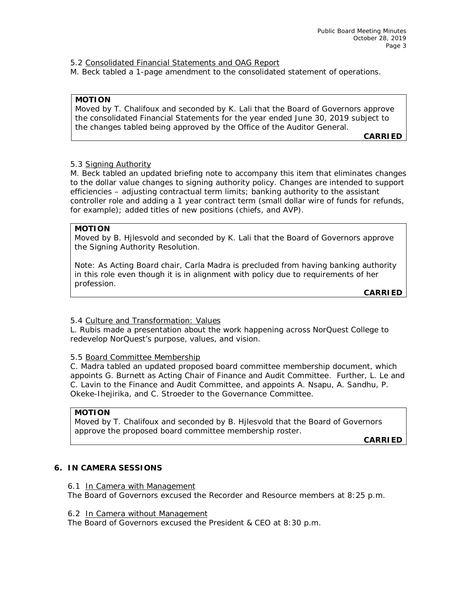5.2 Consolidated Financial Statements and OAG Report

M. Beck tabled a 1-page amendment to the consolidated statement of operations.

**MOTION**

Moved by T. Chalifoux and seconded by K. Lali that the Board of Governors approve the consolidated Financial Statements for the year ended June 30, 2019 subject to the changes tabled being approved by the Office of the Auditor General.

**CARRIED**

### 5.3 Signing Authority

M. Beck tabled an updated briefing note to accompany this item that eliminates changes to the dollar value changes to signing authority policy. Changes are intended to support efficiencies – adjusting contractual term limits; banking authority to the assistant controller role and adding a 1 year contract term (small dollar wire of funds for refunds, for example); added titles of new positions (chiefs, and AVP).

**MOTION**

Moved by B. Hjlesvold and seconded by K. Lali that the Board of Governors approve the Signing Authority Resolution.

Note: As Acting Board chair, Carla Madra is precluded from having banking authority in this role even though it is in alignment with policy due to requirements of her profession.

**CARRIED**

### 5.4 Culture and Transformation: Values

L. Rubis made a presentation about the work happening across NorQuest College to redevelop NorQuest's purpose, values, and vision.

### 5.5 Board Committee Membership

C. Madra tabled an updated proposed board committee membership document, which appoints G. Burnett as Acting Chair of Finance and Audit Committee. Further, L. Le and C. Lavin to the Finance and Audit Committee, and appoints A. Nsapu, A. Sandhu, P. Okeke-Ihejirika, and C. Stroeder to the Governance Committee.

#### **MOTION**

Moved by T. Chalifoux and seconded by B. Hjlesvold that the Board of Governors approve the proposed board committee membership roster.

**CARRIED**

### **6. IN CAMERA SESSIONS**

6.1 In Camera with Management

The Board of Governors excused the Recorder and Resource members at 8:25 p.m.

6.2 In Camera without Management

The Board of Governors excused the President & CEO at 8:30 p.m.